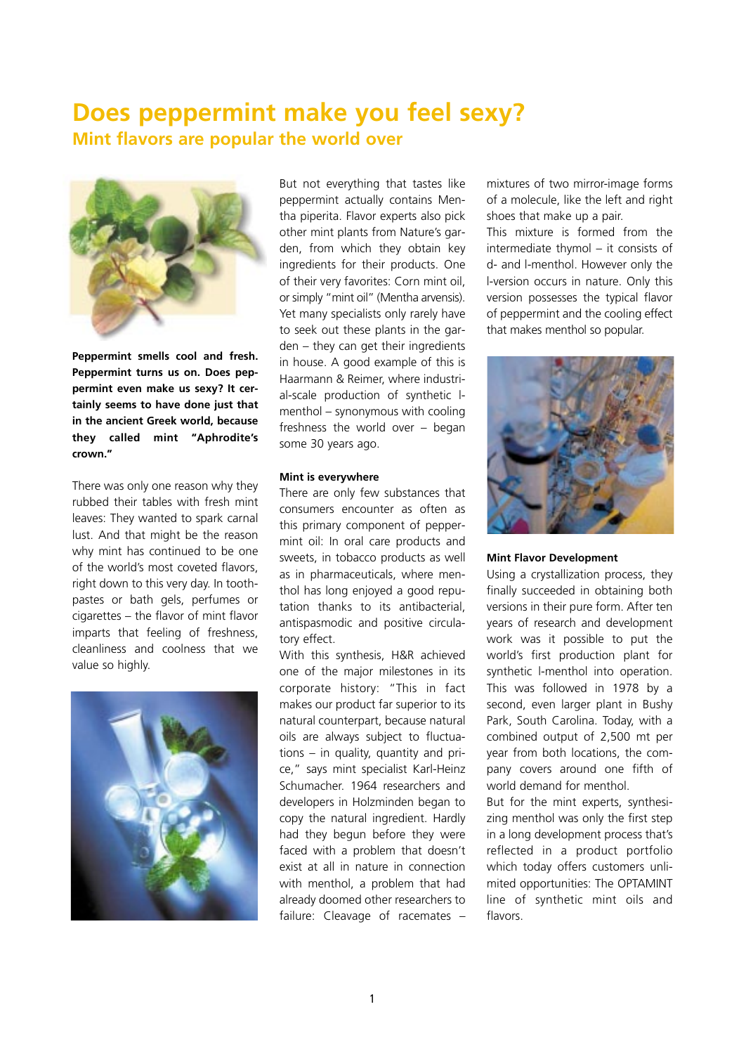## **Does peppermint make you feel sexy? Mint flavors are popular the world over**



**Peppermint smells cool and fresh. Peppermint turns us on. Does peppermint even make us sexy? It certainly seems to have done just that in the ancient Greek world, because they called mint "Aphrodite's crown."**

There was only one reason why they rubbed their tables with fresh mint leaves: They wanted to spark carnal lust. And that might be the reason why mint has continued to be one of the world's most coveted flavors, right down to this very day. In toothpastes or bath gels, perfumes or cigarettes – the flavor of mint flavor imparts that feeling of freshness, cleanliness and coolness that we value so highly.



But not everything that tastes like peppermint actually contains Mentha piperita. Flavor experts also pick other mint plants from Nature's garden, from which they obtain key ingredients for their products. One of their very favorites: Corn mint oil, or simply "mint oil" (Mentha arvensis). Yet many specialists only rarely have to seek out these plants in the garden – they can get their ingredients in house. A good example of this is Haarmann & Reimer, where industrial-scale production of synthetic lmenthol – synonymous with cooling freshness the world over – began some 30 years ago.

## **Mint is everywhere**

There are only few substances that consumers encounter as often as this primary component of peppermint oil: In oral care products and sweets, in tobacco products as well as in pharmaceuticals, where menthol has long enjoyed a good reputation thanks to its antibacterial, antispasmodic and positive circulatory effect.

With this synthesis, H&R achieved one of the major milestones in its corporate history: "This in fact makes our product far superior to its natural counterpart, because natural oils are always subject to fluctuations – in quality, quantity and price," says mint specialist Karl-Heinz Schumacher. 1964 researchers and developers in Holzminden began to copy the natural ingredient. Hardly had they begun before they were faced with a problem that doesn't exist at all in nature in connection with menthol, a problem that had already doomed other researchers to failure: Cleavage of racemates –

mixtures of two mirror-image forms of a molecule, like the left and right shoes that make up a pair.

This mixture is formed from the intermediate thymol – it consists of d- and l-menthol. However only the l-version occurs in nature. Only this version possesses the typical flavor of peppermint and the cooling effect that makes menthol so popular.



## **Mint Flavor Development**

Using a crystallization process, they finally succeeded in obtaining both versions in their pure form. After ten years of research and development work was it possible to put the world's first production plant for synthetic l-menthol into operation. This was followed in 1978 by a second, even larger plant in Bushy Park, South Carolina. Today, with a combined output of 2,500 mt per year from both locations, the company covers around one fifth of world demand for menthol.

But for the mint experts, synthesizing menthol was only the first step in a long development process that's reflected in a product portfolio which today offers customers unlimited opportunities: The OPTAMINT line of synthetic mint oils and flavors